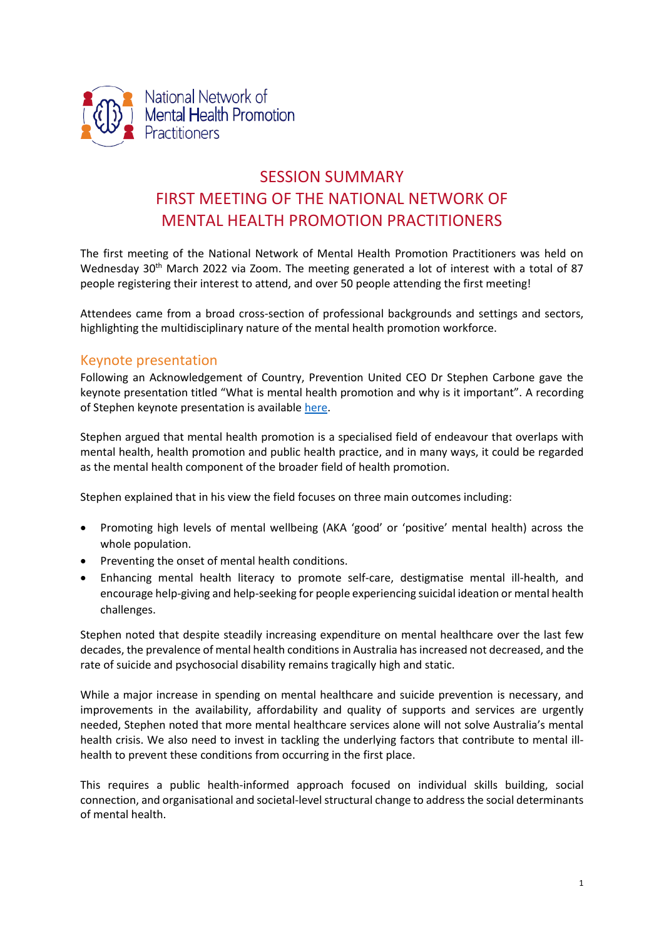

# SESSION SUMMARY FIRST MEETING OF THE NATIONAL NETWORK OF MENTAL HEALTH PROMOTION PRACTITIONERS

The first meeting of the National Network of Mental Health Promotion Practitioners was held on Wednesday 30<sup>th</sup> March 2022 via Zoom. The meeting generated a lot of interest with a total of 87 people registering their interest to attend, and over 50 people attending the first meeting!

Attendees came from a broad cross-section of professional backgrounds and settings and sectors, highlighting the multidisciplinary nature of the mental health promotion workforce.

## Keynote presentation

Following an Acknowledgement of Country, Prevention United CEO Dr Stephen Carbone gave the keynote presentation titled "What is mental health promotion and why is it important". A recording of Stephen keynote presentation is available [here.](https://preventionunited.org.au/advocacy/national-network-of-mental-health-promotion-practitioners-nnmhpp/)

Stephen argued that mental health promotion is a specialised field of endeavour that overlaps with mental health, health promotion and public health practice, and in many ways, it could be regarded as the mental health component of the broader field of health promotion.

Stephen explained that in his view the field focuses on three main outcomes including:

- Promoting high levels of mental wellbeing (AKA 'good' or 'positive' mental health) across the whole population.
- Preventing the onset of mental health conditions.
- Enhancing mental health literacy to promote self-care, destigmatise mental ill-health, and encourage help-giving and help-seeking for people experiencing suicidal ideation or mental health challenges.

Stephen noted that despite steadily increasing expenditure on mental healthcare over the last few decades, the prevalence of mental health conditions in Australia hasincreased not decreased, and the rate of suicide and psychosocial disability remains tragically high and static.

While a major increase in spending on mental healthcare and suicide prevention is necessary, and improvements in the availability, affordability and quality of supports and services are urgently needed, Stephen noted that more mental healthcare services alone will not solve Australia's mental health crisis. We also need to invest in tackling the underlying factors that contribute to mental illhealth to prevent these conditions from occurring in the first place.

This requires a public health-informed approach focused on individual skills building, social connection, and organisational and societal-level structural change to address the social determinants of mental health.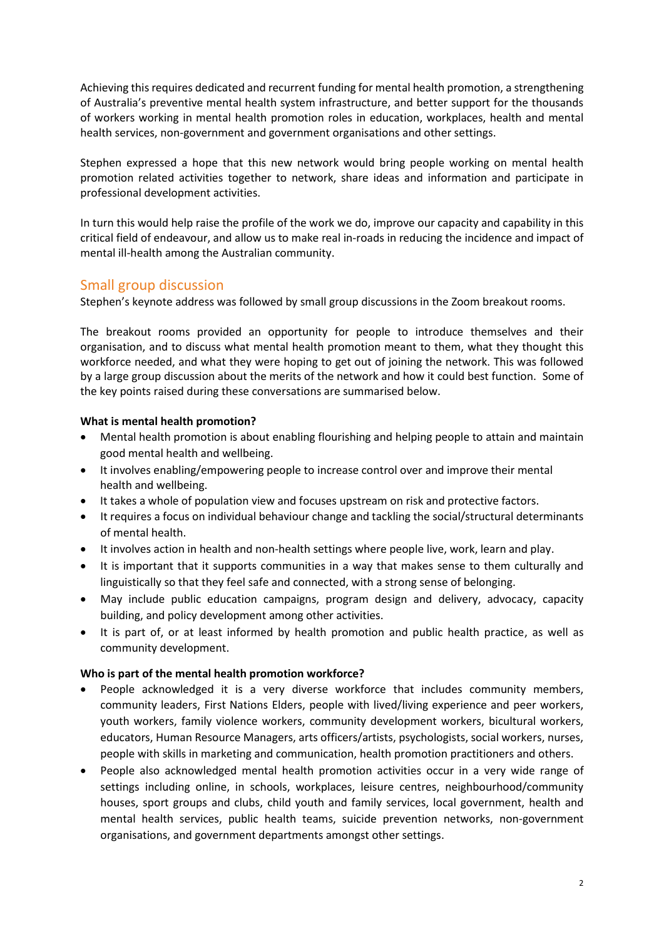Achieving this requires dedicated and recurrent funding for mental health promotion, a strengthening of Australia's preventive mental health system infrastructure, and better support for the thousands of workers working in mental health promotion roles in education, workplaces, health and mental health services, non-government and government organisations and other settings.

Stephen expressed a hope that this new network would bring people working on mental health promotion related activities together to network, share ideas and information and participate in professional development activities.

In turn this would help raise the profile of the work we do, improve our capacity and capability in this critical field of endeavour, and allow us to make real in-roads in reducing the incidence and impact of mental ill-health among the Australian community.

## Small group discussion

Stephen's keynote address was followed by small group discussions in the Zoom breakout rooms.

The breakout rooms provided an opportunity for people to introduce themselves and their organisation, and to discuss what mental health promotion meant to them, what they thought this workforce needed, and what they were hoping to get out of joining the network. This was followed by a large group discussion about the merits of the network and how it could best function. Some of the key points raised during these conversations are summarised below.

### **What is mental health promotion?**

- Mental health promotion is about enabling flourishing and helping people to attain and maintain good mental health and wellbeing.
- It involves enabling/empowering people to increase control over and improve their mental health and wellbeing.
- It takes a whole of population view and focuses upstream on risk and protective factors.
- It requires a focus on individual behaviour change and tackling the social/structural determinants of mental health.
- It involves action in health and non-health settings where people live, work, learn and play.
- It is important that it supports communities in a way that makes sense to them culturally and linguistically so that they feel safe and connected, with a strong sense of belonging.
- May include public education campaigns, program design and delivery, advocacy, capacity building, and policy development among other activities.
- It is part of, or at least informed by health promotion and public health practice, as well as community development.

### **Who is part of the mental health promotion workforce?**

- People acknowledged it is a very diverse workforce that includes community members, community leaders, First Nations Elders, people with lived/living experience and peer workers, youth workers, family violence workers, community development workers, bicultural workers, educators, Human Resource Managers, arts officers/artists, psychologists, social workers, nurses, people with skills in marketing and communication, health promotion practitioners and others.
- People also acknowledged mental health promotion activities occur in a very wide range of settings including online, in schools, workplaces, leisure centres, neighbourhood/community houses, sport groups and clubs, child youth and family services, local government, health and mental health services, public health teams, suicide prevention networks, non-government organisations, and government departments amongst other settings.